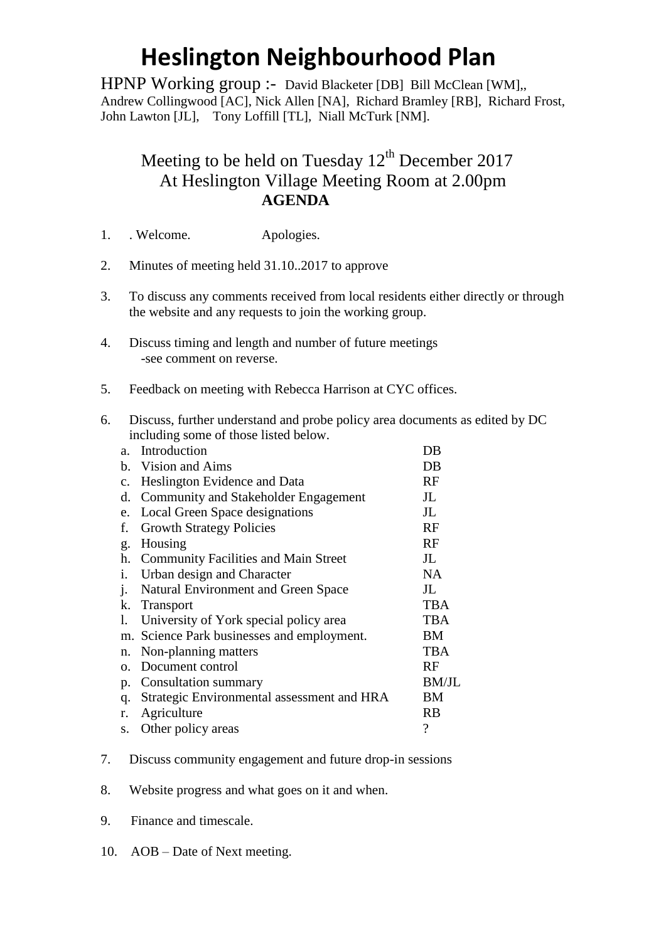## **Heslington Neighbourhood Plan**

HPNP Working group :- David Blacketer [DB] Bill McClean [WM],, Andrew Collingwood [AC], Nick Allen [NA], Richard Bramley [RB], Richard Frost, John Lawton [JL], Tony Loffill [TL], Niall McTurk [NM].

## Meeting to be held on Tuesday  $12<sup>th</sup>$  December 2017 At Heslington Village Meeting Room at 2.00pm **AGENDA**

- 1. . Welcome. Apologies.
- 2. Minutes of meeting held 31.10..2017 to approve
- 3. To discuss any comments received from local residents either directly or through the website and any requests to join the working group.
- 4. Discuss timing and length and number of future meetings -see comment on reverse.
- 5. Feedback on meeting with Rebecca Harrison at CYC offices.
- 6. Discuss, further understand and probe policy area documents as edited by DC including some of those listed below.

| a <sub>z</sub> | Introduction                                | DB                       |
|----------------|---------------------------------------------|--------------------------|
| b.             | Vision and Aims                             | DB                       |
| $\mathbf{C}$ . | Heslington Evidence and Data                | RF                       |
| d.             | Community and Stakeholder Engagement        | $J_{\rm L}$              |
| e.             | Local Green Space designations              | $J_{\rm L}$              |
| f.             | <b>Growth Strategy Policies</b>             | RF                       |
| g.             | Housing                                     | RF                       |
| h.             | <b>Community Facilities and Main Street</b> | JL                       |
| i.             | Urban design and Character                  | <b>NA</b>                |
| j.             | <b>Natural Environment and Green Space</b>  | JL                       |
| k.             | <b>Transport</b>                            | <b>TBA</b>               |
| 1.             | University of York special policy area      | <b>TBA</b>               |
|                | m. Science Park businesses and employment.  | BM                       |
| n.             | Non-planning matters                        | <b>TBA</b>               |
| Ω.             | Document control                            | RF                       |
| p.             | <b>Consultation summary</b>                 | <b>BM/JL</b>             |
| q.             | Strategic Environmental assessment and HRA  | ΒM                       |
| r.             | Agriculture                                 | RB                       |
| S.             | Other policy areas                          | $\overline{\mathcal{C}}$ |
|                |                                             |                          |

- 7. Discuss community engagement and future drop-in sessions
- 8. Website progress and what goes on it and when.
- 9. Finance and timescale.
- 10. AOB Date of Next meeting.